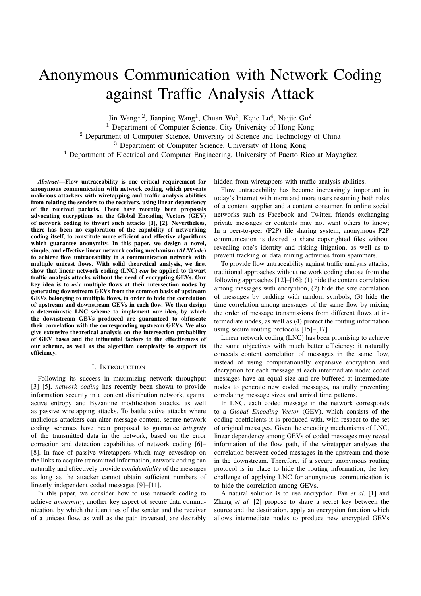# Anonymous Communication with Network Coding against Traffic Analysis Attack

Jin Wang<sup>1,2</sup>, Jianping Wang<sup>1</sup>, Chuan Wu<sup>3</sup>, Kejie Lu<sup>4</sup>, Naijie Gu<sup>2</sup>

<sup>1</sup> Department of Computer Science, City University of Hong Kong

<sup>2</sup> Department of Computer Science, University of Science and Technology of China

<sup>3</sup> Department of Computer Science, University of Hong Kong

 $4$  Department of Electrical and Computer Engineering, University of Puerto Rico at Mayaguez

*Abstract*—Flow untraceability is one critical requirement for anonymous communication with network coding, which prevents malicious attackers with wiretapping and traffic analysis abilities from relating the senders to the receivers, using linear dependency of the received packets. There have recently been proposals advocating encryptions on the Global Encoding Vectors (GEV) of network coding to thwart such attacks [1], [2]. Nevertheless, there has been no exploration of the capability of networking coding itself, to constitute more efficient and effective algorithms which guarantee anonymity. In this paper, we design a novel, simple, and effective linear network coding mechanism (*ALNCode*) to achieve flow untraceability in a communication network with multiple unicast flows. With solid theoretical analysis, we first show that linear network coding (LNC) *can* be applied to thwart traffic analysis attacks without the need of encrypting GEVs. Our key idea is to *mix* multiple flows at their intersection nodes by generating downstream GEVs from the common basis of upstream GEVs belonging to multiple flows, in order to hide the correlation of upstream and downstream GEVs in each flow. We then design a deterministic LNC scheme to implement our idea, by which the downstream GEVs produced are guaranteed to obfuscate their correlation with the corresponding upstream GEVs. We also give extensive theoretical analysis on the intersection probability of GEV bases and the influential factors to the effectiveness of our scheme, as well as the algorithm complexity to support its efficiency.

# I. INTRODUCTION

Following its success in maximizing network throughput [3]–[5], *network coding* has recently been shown to provide information security in a content distribution network, against active entropy and Byzantine modification attacks, as well as passive wiretapping attacks. To battle active attacks where malicious attackers can alter message content, secure network coding schemes have been proposed to guarantee *integrity* of the transmitted data in the network, based on the error correction and detection capabilities of network coding [6]– [8]. In face of passive wiretappers which may eavesdrop on the links to acquire transmitted information, network coding can naturally and effectively provide *confidentiality* of the messages as long as the attacker cannot obtain sufficient numbers of linearly independent coded messages [9]–[11].

In this paper, we consider how to use network coding to achieve *anonymity*, another key aspect of secure data communication, by which the identities of the sender and the receiver of a unicast flow, as well as the path traversed, are desirably hidden from wiretappers with traffic analysis abilities.

Flow untraceability has become increasingly important in today's Internet with more and more users resuming both roles of a content supplier and a content consumer. In online social networks such as Facebook and Twitter, friends exchanging private messages or contents may not want others to know; In a peer-to-peer (P2P) file sharing system, anonymous P2P communication is desired to share copyrighted files without revealing one's identity and risking litigation, as well as to prevent tracking or data mining activities from spammers.

To provide flow untraceability against traffic analysis attacks, traditional approaches without network coding choose from the following approaches [12]–[16]: (1) hide the content correlation among messages with encryption, (2) hide the size correlation of messages by padding with random symbols, (3) hide the time correlation among messages of the same flow by mixing the order of message transmissions from different flows at intermediate nodes, as well as (4) protect the routing information using secure routing protocols [15]–[17].

Linear network coding (LNC) has been promising to achieve the same objectives with much better efficiency: it naturally conceals content correlation of messages in the same flow, instead of using computationally expensive encryption and decryption for each message at each intermediate node; coded messages have an equal size and are buffered at intermediate nodes to generate new coded messages, naturally preventing correlating message sizes and arrival time patterns.

In LNC, each coded message in the network corresponds to a *Global Encoding Vector* (GEV), which consists of the coding coefficients it is produced with, with respect to the set of original messages. Given the encoding mechanisms of LNC, linear dependency among GEVs of coded messages may reveal information of the flow path, if the wiretapper analyzes the correlation between coded messages in the upstream and those in the downstream. Therefore, if a secure anonymous routing protocol is in place to hide the routing information, the key challenge of applying LNC for anonymous communication is to hide the correlation among GEVs.

A natural solution is to use encryption. Fan *et al.* [1] and Zhang *et al.* [2] propose to share a secret key between the source and the destination, apply an encryption function which allows intermediate nodes to produce new encrypted GEVs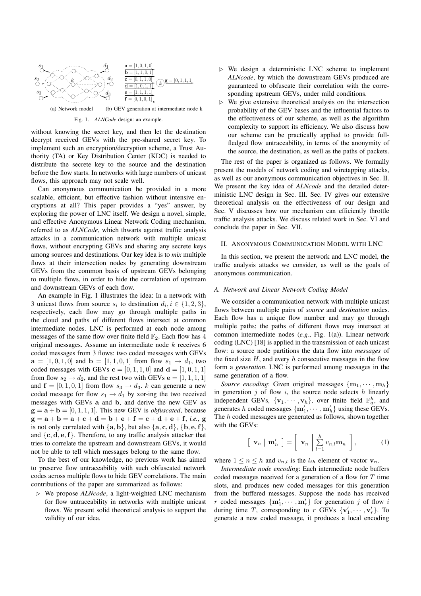

(a) Network model (b) GEV generation at intermediate node k Fig. 1. *ALNCode* design: an example.

without knowing the secret key, and then let the destination decrypt received GEVs with the pre-shared secret key. To implement such an encryption/decryption scheme, a Trust Authority (TA) or Key Distribution Center (KDC) is needed to distribute the secrete key to the source and the destination before the flow starts. In networks with large numbers of unicast flows, this approach may not scale well.

Can anonymous communication be provided in a more scalable, efficient, but effective fashion without intensive encryptions at all? This paper provides a "yes" answer, by exploring the power of LNC itself. We design a novel, simple, and effective Anonymous Linear Network Coding mechanism, referred to as *ALNCode*, which thwarts against traffic analysis attacks in a communication network with multiple unicast flows, without encrypting GEVs and sharing any secrete keys among sources and destinations. Our key idea is to *mix* multiple flows at their intersection nodes by generating downstream GEVs from the common basis of upstream GEVs belonging to multiple flows, in order to hide the correlation of upstream and downstream GEVs of each flow.

An example in Fig. 1 illustrates the idea: In a network with 3 unicast flows from source  $s_i$  to destination  $d_i, i \in \{1, 2, 3\},$ respectively, each flow may go through multiple paths in the cloud and paths of different flows intersect at common intermediate nodes. LNC is performed at each node among messages of the same flow over finite field  $\mathbb{F}_2$ . Each flow has 4 original messages. Assume an intermediate node k receives 6 coded messages from 3 flows: two coded messages with GEVs  $a = [1, 0, 1, 0]$  and  $b = [1, 1, 0, 1]$  from flow  $s_1 \rightarrow d_1$ , two coded messages with GEVs  $\mathbf{c} = [0, 1, 1, 0]$  and  $\mathbf{d} = [1, 0, 1, 1]$ from flow  $s_2 \rightarrow d_2$ , and the rest two with GEVs  $e = [1, 1, 1, 1]$ and  $f = [0, 1, 0, 1]$  from flow  $s_3 \rightarrow d_3$ . k can generate a new coded message for flow  $s_1 \rightarrow d_1$  by xor-ing the two received messages with GEVs a and b, and derive the new GEV as  $g = a + b = [0, 1, 1, 1]$ . This new GEV is *obfuscated*, because  $g = a + b = a + c + d = b + e + f = c + d + e + f$ , *i.e.*, g is not only correlated with  $\{a, b\}$ , but also  $\{a, c, d\}$ ,  $\{b, e, f\}$ , and  $\{c, d, e, f\}$ . Therefore, to any traffic analysis attacker that tries to correlate the upstream and downstream GEVs, it would not be able to tell which messages belong to the same flow.

To the best of our knowledge, no previous work has aimed to preserve flow untraceability with such obfuscated network codes across multiple flows to hide GEV correlations. The main contributions of the paper are summarized as follows:

⊲ We propose *ALNcode*, a light-weighted LNC mechanism for flow untraceability in networks with multiple unicast flows. We present solid theoretical analysis to support the validity of our idea.

- ⊲ We design a deterministic LNC scheme to implement *ALNcode*, by which the downstream GEVs produced are guaranteed to obfuscate their correlation with the corresponding upstream GEVs, under mild conditions.
- ⊲ We give extensive theoretical analysis on the intersection probability of the GEV bases and the influential factors to the effectiveness of our scheme, as well as the algorithm complexity to support its efficiency. We also discuss how our scheme can be practically applied to provide fullfledged flow untraceability, in terms of the anonymity of the source, the destination, as well as the paths of packets.

The rest of the paper is organized as follows. We formally present the models of network coding and wiretapping attacks, as well as our anonymous communication objectives in Sec. II. We present the key idea of *ALNcode* and the detailed deterministic LNC design in Sec. III. Sec. IV gives our extensive theoretical analysis on the effectiveness of our design and Sec. V discusses how our mechanism can efficiently throttle traffic analysis attacks. We discuss related work in Sec. VI and conclude the paper in Sec. VII.

## II. ANONYMOUS COMMUNICATION MODEL WITH LNC

In this section, we present the network and LNC model, the traffic analysis attacks we consider, as well as the goals of anonymous communication.

## *A. Network and Linear Network Coding Model*

We consider a communication network with multiple unicast flows between multiple pairs of *source* and *destination* nodes. Each flow has a unique flow number and may go through multiple paths; the paths of different flows may intersect at common intermediate nodes (*e.g.*, Fig. 1(a)). Linear network coding (LNC) [18] is applied in the transmission of each unicast flow: a source node partitions the data flow into *messages* of the fixed size  $H$ , and every  $h$  consecutive messages in the flow form a *generation*. LNC is performed among messages in the same generation of a flow.

*Source encoding*: Given original messages  $\{m_1, \dots, m_h\}$ in generation  $j$  of flow  $i$ , the source node selects  $h$  linearly independent GEVs,  $\{v_1, \dots, v_h\}$ , over finite field  $\mathbb{F}_q^h$ , and generates h coded messages  $\{m'_1, \dots, m'_h\}$  using these GEVs. The h coded messages are generated as follows, shown together with the GEVs:

$$
\left[\mathbf{v}_n \mid \mathbf{m}'_n\right] = \left[\mathbf{v}_n \mid \sum_{l=1}^h v_{n,l} \mathbf{m}_n\right],\tag{1}
$$

where  $1 \le n \le h$  and  $v_{n,l}$  is the  $l_{th}$  element of vector  $v_n$ .

*Intermediate node encoding*: Each intermediate node buffers coded messages received for a generation of a flow for T time slots, and produces new coded messages for this generation from the buffered messages. Suppose the node has received r coded messages  $\{m'_1, \cdots, m'_r\}$  for generation j of flow i during time T, corresponding to r GEVs  $\{v'_1, \dots, v'_r\}$ . To generate a new coded message, it produces a local encoding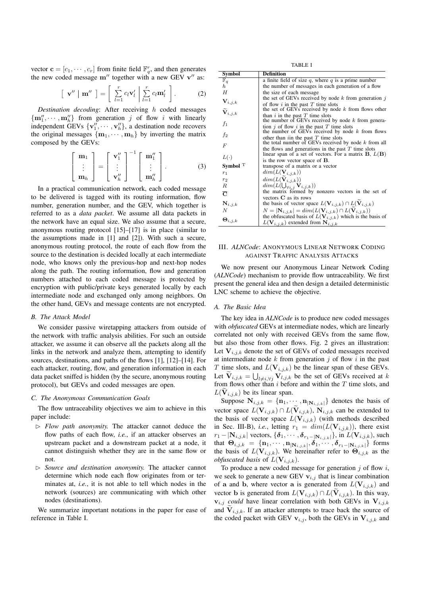vector  $\mathbf{c} = [c_1, \dots, c_r]$  from finite field  $\mathbb{F}_q^r$ , and then generates the new coded message  $m''$  together with a new GEV  $v''$  as:

$$
\left[\mathbf{v}'' \mid \mathbf{m}''\right] = \left[\sum_{l=1}^{r} c_l \mathbf{v}'_l \mid \sum_{l=1}^{r} c_l \mathbf{m}'_l\right].
$$
 (2)

*Destination decoding*: After receiving h coded messages  $\{m''_1, \cdots, m''_h\}$  from generation j of flow i with linearly independent GEVs  $\{v''_1, \dots, v''_h\}$ , a destination node recovers the original messages  $\{m_1, \dots, m_h\}$  by inverting the matrix composed by the GEVs:

$$
\begin{bmatrix} \mathbf{m}_1 \\ \vdots \\ \mathbf{m}_h \end{bmatrix} = \begin{bmatrix} \mathbf{v}_1'' \\ \vdots \\ \mathbf{v}_h'' \end{bmatrix}^{-1} \begin{bmatrix} \mathbf{m}_1'' \\ \vdots \\ \mathbf{m}_h'' \end{bmatrix} .
$$
 (3)

In a practical communication network, each coded message to be delivered is tagged with its routing information, flow number, generation number, and the GEV, which together is referred to as a *data packet*. We assume all data packets in the network have an equal size. We also assume that a secure, anonymous routing protocol [15]–[17] is in place (similar to the assumptions made in [1] and [2]). With such a secure, anonymous routing protocol, the route of each flow from the source to the destination is decided locally at each intermediate node, who knows only the previous-hop and next-hop nodes along the path. The routing information, flow and generation numbers attached to each coded message is protected by encryption with public/private keys generated locally by each intermediate node and exchanged only among neighbors. On the other hand, GEVs and message contents are not encrypted.

#### *B. The Attack Model*

We consider passive wiretapping attackers from outside of the network with traffic analysis abilities. For such an outside attacker, we assume it can observe all the packets along all the links in the network and analyze them, attempting to identify sources, destinations, and paths of the flows [1], [12]–[14]. For each attacker, routing, flow, and generation information in each data packet sniffed is hidden (by the secure, anonymous routing protocol), but GEVs and coded messages are open.

# *C. The Anonymous Communication Goals*

The flow untraceability objectives we aim to achieve in this paper include:

- ⊲ *Flow path anonymity.* The attacker cannot deduce the flow paths of each flow, *i.e.*, if an attacker observes an upstream packet and a downstream packet at a node, it cannot distinguish whether they are in the same flow or not.
- ⊲ *Source and destination anonymity.* The attacker cannot determine which node each flow originates from or terminates at, *i.e.*, it is not able to tell which nodes in the network (sources) are communicating with which other nodes (destinations).

We summarize important notations in the paper for ease of reference in Table I.

| Symbol                           | <b>Definition</b>                                                                                              |
|----------------------------------|----------------------------------------------------------------------------------------------------------------|
| $\mathbb{F}_q$                   | a finite field of size $q$ , where $q$ is a prime number                                                       |
| $\hbar$                          | the number of messages in each generation of a flow                                                            |
| Н                                | the size of each message                                                                                       |
| $\mathbf{V}_{i,j,k}$             | the set of GEVs received by node $k$ from generation $j$<br>of flow $i$ in the past $T$ time slots             |
| $\widetilde{\mathbf{V}}_{i,j,k}$ | the set of GEVs received by node $k$ from flows other                                                          |
| $f_1$                            | than $i$ in the past $T$ time slots<br>the number of GEVs received by node $k$ from genera-                    |
| $f_2$                            | tion $j$ of flow $i$ in the past $T$ time slots<br>the number of GEVs received by node $k$ from flows          |
|                                  | other than $i$ in the past $T$ time slots                                                                      |
| F                                | the total number of GEVs received by node $k$ from all<br>the flows and generations in the past $T$ time slots |
|                                  | linear span of a set of vectors. For a matrix $\mathbf{B}, L(\mathbf{B})$                                      |
| $L(\cdot)$                       | is the row vector space of $\bf{B}$ .                                                                          |
| Symbol $T$                       | transpose of a matrix or a vector                                                                              |
| $r_1$                            | $dim(L(\mathbf{V}_{i,j,k}))$                                                                                   |
| r <sub>2</sub>                   | $dim(L(\mathbf{V}_{i,j,k}))$                                                                                   |
| R                                | $dim(L(\bigcup_{\forall i,j} \mathbf{V}_{i,j,k}))$                                                             |
| $\overline{C}$                   | the matrix formed by nonzero vectors in the set of                                                             |
|                                  | vectors $C$ as its rows                                                                                        |
| $\mathbf{N}_{i,j,k}$             | the basis of vector space $L(\mathbf{V}_{i,j,k}) \cap L(\tilde{\mathbf{V}}_{i,j,k})$                           |
| N                                | $N =  N_{i,j,k}  = dim(L(V_{i,j,k}) \cap L(V_{i,j,k}))$                                                        |
|                                  | the obfuscated basis of $L(\mathbf{V}_{i,j,k})$ which is the basis of                                          |
| $\boldsymbol{\Theta}_{i,j,k}$    | $L(\mathbf{V}_{i,j,k})$ extended from $\mathbf{N}_{i,j,k}$                                                     |

# III. *ALNCode*: ANONYMOUS LINEAR NETWORK CODING AGAINST TRAFFIC ANALYSIS ATTACKS

We now present our Anonymous Linear Network Coding (*ALNCode*) mechanism to provide flow untraceability. We first present the general idea and then design a detailed deterministic LNC scheme to achieve the objective.

## *A. The Basic Idea*

The key idea in *ALNCode* is to produce new coded messages with *obfuscated* GEVs at intermediate nodes, which are linearly correlated not only with received GEVs from the same flow, but also those from other flows. Fig. 2 gives an illustration: Let  $V_{i,j,k}$  denote the set of GEVs of coded messages received at intermediate node  $k$  from generation  $j$  of flow  $i$  in the past T time slots, and  $L(\mathbf{V}_{i,j,k})$  be the linear span of these GEVs. Let  $\widetilde{\mathbf{V}}_{i,j,k} = \bigcup_{l \neq i, \forall j} \mathbf{V}_{l,j,k}$  be the set of GEVs received at k from flows other than  $i$  before and within the  $T$  time slots, and  $L(\mathbf{V}_{i,j,k})$  be its linear span.

Suppose  $\mathbf{N}_{i,j,k} = {\hat{\mathbf{n}_1}, \dots, \mathbf{n}_{|\mathbf{N}_{i,j,k}|}}$  denotes the basis of vector space  $L(\mathbf{V}_{i,j,k}) \cap L(\mathbf{V}_{i,j,k})$ ,  $\mathbf{N}_{i,j,k}$  can be extended to the basis of vector space  $L(\mathbf{V}_{i,j,k})$  (with methods described in Sec. III-B), *i.e.*, letting  $r_1 = dim(L(\mathbf{V}_{i,j,k}))$ , there exist  $r_1 - |\mathbf{N}_{i,j,k}|$  vectors,  $\{\boldsymbol{\delta}_1, \cdots, \boldsymbol{\delta}_{r_1-|\mathbf{N}_{i,j,k}|}\}$ , in  $L(\mathbf{V}_{i,j,k})$ , such that  $\mathbf{\Theta}_{i,j,k}~=~\{\mathbf{n}_1,\cdots,\mathbf{n}_{|\mathbf{N}_{i,j,k}|},\boldsymbol{\delta}_1,\cdots,\boldsymbol{\delta}_{r_1-|\mathbf{N}_{i,j,k}|}\}$  forms the basis of  $L(\mathbf{V}_{i,j,k})$ . We hereinafter refer to  $\mathbf{\Theta}_{i,j,k}$  as the *obfuscated basis* of  $L(\mathbf{V}_{i,j,k})$ .

To produce a new coded message for generation  $j$  of flow  $i$ , we seek to generate a new GEV  $v_{i,j}$  that is linear combination of a and b, where vector a is generated from  $L(\mathbf{V}_{i,j,k})$  and vector **b** is generated from  $L(\mathbf{V}_{i,j,k}) \cap L(\mathbf{V}_{i,j,k})$ . In this way,  $v_{i,j}$  *could* have linear correlation with both GEVs in  $V_{i,j,k}$ and  $V_{i,j,k}$ . If an attacker attempts to trace back the source of the coded packet with GEV  $v_{i,j}$ , both the GEVs in  $V_{i,j,k}$  and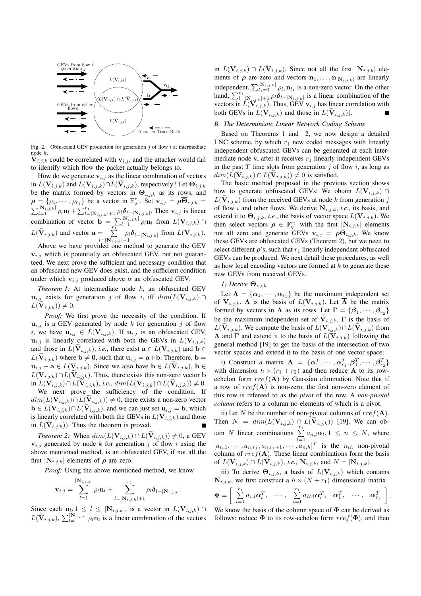

Fig. 2. Obfuscated GEV production for generation  $j$  of flow  $i$  at intermediate node k.

 $\overline{\mathbf{V}}_{i,j,k}$  could be correlated with  $\mathbf{v}_{i,j}$ , and the attacker would fail to identify which flow the packet actually belongs to.

How do we generate  $v_{i,j}$  as the linear combination of vectors in  $L(\mathbf{V}_{i,j,k})$  and  $L(\mathbf{V}_{i,j,k}) \cap L(\mathbf{V}_{i,j,k})$ , respectively? Let  $\overline{\mathbf{\Theta}}_{i,j,k}$ be the matrix formed by vectors in  $\Theta_{i,j,k}$  as its rows, and  $\rho = \{\rho_1, \dots, \rho_{r_1}\}\$ be a vector in  $\mathbb{F}_q^{r_1}$ . Set  $\mathbf{v}_{i,j} = \rho \overline{\Theta}_{i,j,k} =$  $\sum_{l=1}^{\lvert \mathbf{N}_{i,j,k} \rvert} \rho_l \mathbf{n}_l + \sum_{l=\lvert \mathbf{N}_{i,j,k} \rvert+1}^{r_1} \rho_l \delta_{l-\lvert \mathbf{N}_{i,j,k} \rvert}$ . Then  $\mathbf{v}_{i,j}$  is linear combination of vector  $\mathbf{b} = \sum_{l=1}^{\mathbf{|N_{i,j,k}|}} \rho_l \mathbf{n}_l$  from  $L(\mathbf{V}_{i,j,k})$  $L(\widetilde{\mathbf{V}}_{i,j,k})$  and vector  $\mathbf{a} = \sum_{n=1}^{r_1}$  $=\!\!\!\!\sum\limits_{l=|\mathbf{N}_{i,j,k}|+1}\!\!\!\rho_l \boldsymbol\delta_{l-|\mathbf{N}_{i,j,k}|}\ \text{from}\ L(\mathbf{V}_{i,j,k}).$ 

Above we have provided one method to generate the GEV  $v_{i,j}$  which is potentially an obfuscated GEV, but not guaranteed. We next prove the sufficient and necessary condition that an obfuscated new GEV does exist, and the sufficient condition under which  $v_{i,j}$  produced above *is* an obfuscated GEV.

*Theorem 1:* At intermediate node  $k$ , an obfuscated GEV  $u_{i,j}$  exists for generation j of flow i, iff  $dim(L(\mathbf{V}_{i,j,k})) \cap$  $L(\tilde{\mathbf{V}}_{i,j,k}) \neq 0.$ 

*Proof:* We first prove the necessity of the condition. If  $u_{i,j}$  is a GEV generated by node k for generation j of flow i, we have  $\mathbf{u}_{i,j} \in L(\mathbf{V}_{i,j,k})$ . If  $\mathbf{u}_{i,j}$  is an obfuscated GEV,  $u_{i,j}$  is linearly correlated with both the GEVs in  $L(V_{i,j,k})$ and those in  $L(\mathbf{V}_{i,j,k})$ , *i.e.*, there exist  $\mathbf{a} \in L(\mathbf{V}_{i,j,k})$  and  $\mathbf{b} \in$  $L(\mathbf{V}_{i,j,k})$  where  $\mathbf{b} \neq \mathbf{0}$ , such that  $\mathbf{u}_{i,j} = \mathbf{a} + \mathbf{b}$ . Therefore,  $\mathbf{b} =$  $u_{i,j}$  –  $a \in L(\mathbf{V}_{i,j,k})$ . Since we also have  $b \in L(\tilde{\mathbf{V}}_{i,j,k})$ ,  $b \in$  $L(\mathbf{V}_{i,j,k}) \cap L(\mathbf{V}_{i,j,k})$ . Thus, there exists this non-zero vector **b** in  $L(\mathbf{V}_{i,j,k}) \cap L(\mathbf{V}_{i,j,k})$ , *i.e.*,  $dim(L(\mathbf{V}_{i,j,k}) \cap L(\mathbf{V}_{i,j,k})) \neq 0$ .

We next prove the sufficiency of the condition. If  $dim(L(\mathbf{V}_{i,j,k}) \cap L(\mathbf{V}_{i,j,k})) \neq 0$ , there exists a non-zero vector  $\mathbf{b} \in L(\mathbf{V}_{i,j,k}) \cap L(\widetilde{\mathbf{V}}_{i,j,k})$ , and we can just set  $\mathbf{u}_{i,j} = \mathbf{b}$ , which is linearly correlated with both the GEVs in  $L(\mathbf{V}_{i,j,k})$  and those in  $L(\dot{\mathbf{V}}_{i,j,k})$ ). Thus the theorem is proved.

*Theorem 2:* When  $dim(L(\mathbf{V}_{i,j,k}) \cap L(\tilde{\mathbf{V}}_{i,j,k})) \neq 0$ , a GEV  $v_{i,j}$  generated by node k for generation j of flow i using the above mentioned method, is an obfuscated GEV, if not all the first  $|\mathbf{N}_{i,j,k}|$  elements of  $\rho$  are zero.

*Proof:* Using the above mentioned method, we know

$$
\mathbf{v}_{i,j} = \sum_{l=1}^{|\mathbf{N}_{i,j,k}|} \rho_l \mathbf{n}_l + \sum_{l=|\mathbf{N}_{i,j,k}|+1}^{r_1} \rho_l \delta_{l-|\mathbf{N}_{i,j,k}|}.
$$

Since each  $n_l, 1 \leq l \leq |\mathbf{N}_{i,j,k}|$ , is a vector in  $L(\mathbf{V}_{i,j,k}) \cap$  $L(\widetilde{V}_{i,j,k})$ ,  $\sum_{l=1}^{|\widetilde{N}_{i,j,k}|} \rho_l \mathbf{n}_l$  is a linear combination of the vectors in  $L(\mathbf{V}_{i,j,k}) \cap L(\widetilde{\mathbf{V}}_{i,j,k})$ . Since not all the first  $|\mathbf{N}_{i,j,k}|$  elements of  $\rho$  are zero and vectors  $\mathbf{n}_1,\ldots,\mathbf{n}_{|\mathbf{N}_{i,j,k}|}$  are linearly independent,  $\sum_{l_1=1}^{\mathbf{N}_{i,j,k}} \rho_{l_1} \mathbf{n}_{l_1}$  is a non-zero vector. On the other hand,  $\sum_{l=\lfloor \mathbf{N}_{i,j,k} \rfloor+1}^{r_1} \rho_l \delta_{l-\lfloor \mathbf{N}_{i,j,k} \rfloor}$  is a linear combination of the vectors in  $L(\mathbf{V}_{i,j,k})$ . Thus, GEV  $\mathbf{v}_{i,j}$  has linear correlation with both GEVs in  $L(\mathbf{V}_{i,j,k})$  and those in  $L(\mathbf{V}_{i,j,k})$ .

# *B. The Deterministic Linear Network Coding Scheme*

Based on Theorems 1 and 2, we now design a detailed LNC scheme, by which  $r_1$  new coded messages with linearly independent obfuscated GEVs can be generated at each intermediate node  $k$ , after it receives  $r_1$  linearly independent GEVs in the past  $T$  time slots from generation  $j$  of flow  $i$ , as long as  $dim(L(\mathbf{V}_{i,j,k}) \cap L(\mathbf{V}_{i,j,k})) \neq 0$  is satisfied.

The basic method proposed in the previous section shows how to generate obfuscated GEVs: We obtain  $L(\mathbf{V}_{i,j,k}) \cap$  $L(\mathbf{V}_{i,j,k})$  from the received GEVs at node k from generation j of flow i and other flows. We derive  $N_{i,j,k}$ , *i.e.*, its basis, and extend it to  $\mathbf{\Theta}_{i,j,k}$ , *i.e.*, the basis of vector space  $L(\mathbf{V}_{i,j,k})$ . We then select vectors  $\rho \in \mathbb{F}_q^{r_1}$  with the first  $|\mathbf{N}_{i,j,k}|$  elements not all zero and generate GEVs  $v_{i,j} = \rho \overline{\Theta}_{i,j,k}$ . We know these GEVs are obfuscated GEVs (Theorem 2), but we need to select different  $\rho$ 's, such that  $r_1$  linearly independent obfuscated GEVs can be produced. We next detail these procedures, as well as how local encoding vectors are formed at  $k$  to generate these new GEVs from received GEVs.

*1)* Derive  $\Theta_{i,j,k}$ 

Let  $\Lambda = {\alpha_1, \cdots, \alpha_{r_1}}$  be the maximum independent set of  $V_{i,j,k}$ .  $\Lambda$  is the basis of  $L(V_{i,j,k})$ . Let  $\overline{\Lambda}$  be the matrix formed by vectors in  $\Lambda$  as its rows. Let  $\Gamma = {\beta_1, \cdots, \beta_{r_2}}$ be the maximum independent set of  $V_{i,j,k}$ . Γ is the basis of  $L(\tilde{\mathbf{V}}_{i,j,k})$ . We compute the basis of  $L(\mathbf{V}_{i,j,k})\cap L(\tilde{\mathbf{V}}_{i,j,k})$  from **Λ** and Γ and extend it to the basis of  $L(\mathbf{V}_{i,j,k})$  following the general method [19] to get the basis of the intersection of two vector spaces and extend it to the basis of one vector space:

i) Construct a matrix  $\mathbf{A} = \{\boldsymbol{\alpha}_1^T, \cdots, \boldsymbol{\alpha}_{r_1}^T, \boldsymbol{\beta}_1^T, \cdots, \boldsymbol{\beta}_{r_2}^T\}$ with dimension  $h \times (r_1 + r_2)$  and then reduce **A** to its rowechelon form  $rref(A)$  by Gaussian elimination. Note that if a row of  $rref(A)$  is non-zero, the first non-zero element of this row is refereed to as the *pivot* of the row. A *non-pivotal column* refers to a column no elements of which is a pivot.

ii) Let N be the number of non-pivotal columns of  $rref(A)$ . Then  $N = dim(L(\mathbf{V}_{i,j,k}) \cap L(\tilde{\mathbf{V}}_{i,j,k}))$  [19]. We can obtain N linear combinations  $\sum_{r_1}^{r_1}$  $\sum_{l=1}^{\infty} a_{n,l} \alpha_l, 1 \leq n \leq N$ , where  $[a_{n,1},\dots,a_{n,r_1},a_{n,r_1+1},\dots,a_{n,h}]^T$  is the  $n_{th}$  non-pivotal column of  $rref(A)$ . These linear combinations form the basis of  $L(\mathbf{V}_{i,j,k}) \cap L(\mathbf{V}_{i,j,k}),$  *i.e.*,  $\mathbf{N}_{i,j,k}$ , and  $N = |\mathbf{N}_{i,j,k}|$ .

iii) To derive  $\Theta_{i,j,k}$ , a basis of  $L(\mathbf{V}_{i,j,k})$  which contains  $N_{i,j,k}$ , we first construct a  $h \times (N + r_1)$  dimensional matrix

$$
\mathbf{\Phi} = \left[ \begin{array}{ccc} \sum_{l=1}^{r_1} a_{1,l} \alpha_l^T, & \cdots, & \sum_{l=1}^{r_1} a_{N,l} \alpha_l^T, & \alpha_1^T, & \cdots, & \alpha_{r_1}^T \end{array} \right]
$$

.

We know the basis of the column space of  $\Phi$  can be derived as follows: reduce  $\Phi$  to its row-echelon form  $rref(\Phi)$ , and then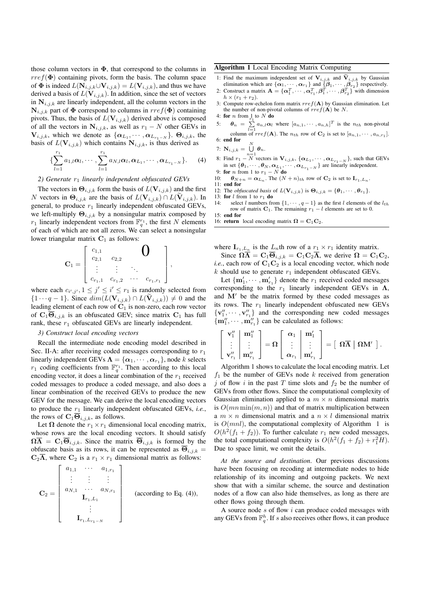those column vectors in  $\Phi$ , that correspond to the columns in  $rref(\Phi)$  containing pivots, form the basis. The column space of  $\Phi$  is indeed  $L(\mathbf{N}_{i,j,k}\cup\mathbf{V}_{i,j,k})=L(\mathbf{V}_{i,j,k})$ , and thus we have derived a basis of  $L(\mathbf{V}_{i,j,k})$ . In addition, since the set of vectors in  $N_{i,j,k}$  are linearly independent, all the column vectors in the  $N_{i,j,k}$  part of  $\Phi$  correspond to columns in  $rref(\Phi)$  containing pivots. Thus, the basis of  $L(\mathbf{V}_{i,j,k})$  derived above is composed of all the vectors in  $N_{i,j,k}$ , as well as  $r_1 - N$  other GEVs in  $V_{i,j,k}$ , which we denote as  $\{\alpha_{L_1}, \cdots, \alpha_{L_{r_1-N}}\}$ .  $\Theta_{i,j,k}$ , the basis of  $L(\mathbf{V}_{i,j,k})$  which contains  $\mathbf{N}_{i,j,k}$ , is thus derived as

$$
\{\sum_{l=1}^{r_1} a_{1,l} \alpha_l, \cdots, \sum_{l=1}^{r_1} a_{N,l} \alpha_l, \alpha_{L_1}, \cdots, \alpha_{L_{r_1-N}}\}.
$$
 (4)

# *2) Generate* r<sup>1</sup> *linearly independent obfuscated GEVs*

The vectors in  $\mathbf{\Theta}_{i,j,k}$  form the basis of  $L(\mathbf{V}_{i,j,k})$  and the first N vectors in  $\Theta_{i,j,k}$  are the basis of  $L(\mathbf{V}_{i,j,k}) \cap L(\mathbf{V}_{i,j,k})$ . In general, to produce  $r_1$  linearly independent obfuscated GEVs, we left-multiply  $\Theta_{i, j, k}$  by a nonsingular matrix composed by  $r_1$  linearly independent vectors from  $\mathbb{F}_q^{r_1}$ , the first N elements of each of which are not all zeros. We can select a nonsingular lower triangular matrix  $C_1$  as follows:

$$
\mathbf{C}_1 = \left[ \begin{array}{cccc} c_{1,1} & & \mathbf{0} \\ c_{2,1} & c_{2,2} & & \mathbf{0} \\ \vdots & \vdots & & \vdots \\ c_{r_1,1} & c_{r_1,2} & \cdots & c_{r_1,r_1} \end{array} \right],
$$

where each  $c_{i',j'}$ ,  $1 \leq j' \leq i' \leq r_1$  is randomly selected from  ${1 \cdots q-1}$ . Since  $dim(L(\mathbf{V}_{i,j,k}) \cap L(\mathbf{V}_{i,j,k})) \neq 0$  and the leading element of each row of  $\tilde{C}_1$  is non-zero, each row vector of  $C_1\overline{\Theta}_{i,j,k}$  is an obfuscated GEV; since matrix  $C_1$  has full rank, these  $r_1$  obfuscated GEVs are linearly independent.

#### *3) Construct local encoding vectors*

Recall the intermediate node encoding model described in Sec. II-A: after receiving coded messages corresponding to  $r_1$ linearly independent GEVs  $\mathbf{\Lambda} = \{\boldsymbol{\alpha}_1, \cdots, \boldsymbol{\alpha}_{r_1}\},$  node  $k$  selects  $r_1$  coding coefficients from  $\mathbb{F}_q^{r_1}$ . Then according to this local encoding vector, it does a linear combination of the  $r_1$  received coded messages to produce a coded message, and also does a linear combination of the received GEVs to produce the new GEV for the message. We can derive the local encoding vectors to produce the  $r_1$  linearly independent obfuscated GEVs, *i.e.*, the rows of  $\mathbf{C}_1\overline{\mathbf{\Theta}}_{i,j,k}$ , as follows.

Let  $\Omega$  denote the  $r_1 \times r_1$  dimensional local encoding matrix, whose rows are the local encoding vectors. It should satisfy  $\Omega \overline{\Lambda} = C_1 \overline{\Theta}_{i,j,k}$ . Since the matrix  $\overline{\Theta}_{i,j,k}$  is formed by the obfuscate basis as its rows, it can be represented as  $\overline{\Theta}_{i,j,k} =$  $C_2\overline{\Lambda}$ , where  $C_2$  is a  $r_1 \times r_1$  dimensional matrix as follows:

$$
\mathbf{C}_2 = \begin{bmatrix} a_{1,1} & \cdots & a_{1,r_1} \\ \vdots & \vdots & \vdots \\ a_{N,1} & \cdots & a_{N,r_1} \\ \mathbf{I}_{r_1,L_1} & & \\ & \vdots & \\ \mathbf{I}_{r_1,L_{r_1-N}} & \end{bmatrix} \quad \text{(according to Eq. (4)),}
$$

## Algorithm 1 Local Encoding Matrix Computing

- 1: Find the maximum independent set of  ${\bf V}_{i,j,k}$  and  $\widetilde{{\bf V}}_{i,j,k}$  by Gaussian elimination which are  $\{\boldsymbol{\alpha}_1, \cdots, \boldsymbol{\alpha}_{r_1}\}$  and  $\{\boldsymbol{\beta}_1, \cdots, \boldsymbol{\beta}_{r_2}\}$  respectively.
- 2: Construct a matrix  $\mathbf{A} = {\mathbf{\alpha}_1^T, \cdots, \alpha_{r_1}^T, \beta_1^T, \cdots, \beta_{r_2}^T}$  with dimension  $h \times (r_1 + r_2)$ .
- 3: Compute row-echelon form matrix  $rref(A)$  by Gaussian elimination. Let the number of non-pivotal columns of  $rref(\mathbf{A})$  be N.
- 4: for *n* from  $\frac{1}{n_1}$  to *N* do 5:  $\theta_n = \sum^{r_1}$
- $\sum_{l=1}^{\infty} a_{n,l} \alpha_l$  where  $[a_{n,1}, \dots, a_{n,h}]^T$  is the  $n_{th}$  non-pivotal column of  $rref(\mathbf{A})$ . The  $n_{th}$  row of  $\mathbf{C}_2$  is set to  $[a_{n,1}, \dots, a_{n,r_1}]$ .
- 6: end for
- 7:  $\mathbf{N}_{i,j,k} = \bigcup_{k=1}^{N} \boldsymbol{\theta}_n.$
- 8: Find  $r_1 \stackrel{n=1}{\sim}$  vectors in  $\mathbf{V}_{i,j,k}$ ,  $\{\boldsymbol{\alpha}_{L_1}, \cdots, \boldsymbol{\alpha}_{L_{r_1-N}}\}$ , such that GEVs in set  $\{\boldsymbol{\theta}_1, \dots, \boldsymbol{\theta}_N, \boldsymbol{\alpha}_{L_1}, \dots, \boldsymbol{\alpha}_{L_{r_1-N}}\}$  are linearly independent.
- 9: for *n* from 1 to  $r_1 N$  do 10:  $\theta_{N+n} = \alpha_{L_n}$ . The  $(N+n)_{th}$  row of  $\mathbb{C}_2$  is set to  $\mathbf{I}_{r_1,L_n}$ .
- 11: end for
- 12: The *obfuscated basis* of  $L(\mathbf{V}_{i,j,k})$  is  $\mathbf{\Theta}_{i,j,k} = {\theta_1, \cdots, \theta_{r_1}}$ .
- 13: for  $l$  from 1 to  $r_1$  do
- 14: select l numbers from  $\{1, \dots, q-1\}$  as the first l elements of the  $l_{th}$  row of matrix **C**<sub>1</sub>. The remaining  $r_1 l$  elements are set to 0.
- $15<sub>c</sub>$  end for
- 16: **return** local encoding matrix  $\mathbf{\Omega} = \mathbf{C}_1 \mathbf{C}_2$ .

where  $\mathbf{I}_{r_1,L_n}$  is the  $L_n$ th row of a  $r_1 \times r_1$  identity matrix. Since  $\mathbf{\Omega}\mathbf{\Lambda} = \mathbf{C}_1 \mathbf{\Theta}_{i,j,k} = \mathbf{C}_1 \mathbf{C}_2 \mathbf{\Lambda}$ , we derive  $\mathbf{\Omega} = \mathbf{C}_1 \mathbf{C}_2$ ,

*i.e.*, each row of  $C_1C_2$  is a local encoding vector, which node  $k$  should use to generate  $r_1$  independent obfuscated GEVs.

Let  ${m'_1, \dots, m'_{r_1}}$  denote the  $r_1$  received coded messages corresponding to the  $r_1$  linearly independent GEVs in  $\Lambda$ , and  $M'$  be the matrix formed by these coded messages as its rows. The  $r_1$  linearly independent obfuscated new GEVs  $\{v''_1, \dots, v''_{r_1}\}\$  and the corresponding new coded messages  $\{m''_1, \cdots, m''_{r_1}\}\$  can be calculated as follows:

$$
\left[\begin{array}{c} \mathbf{v}_{1}'' \\ \vdots \\ \mathbf{v}_{r_{1}}''\end{array}\middle|\begin{array}{c} \mathbf{m}_{1}'' \\ \vdots \\ \mathbf{m}_{r_{1}}''\end{array}\right] = \Omega \left[\begin{array}{c} \alpha_{1} \\ \vdots \\ \alpha_{r_{1}}\end{array}\middle|\begin{array}{c} \mathbf{m}_{1}' \\ \vdots \\ \mathbf{m}_{r_{1}}'\end{array}\right] = \left[\begin{array}{c} \Omega\overline{\mathbf{\Lambda}} \mid \Omega\mathbf{M}'\end{array}\right].
$$

Algorithm 1 shows to calculate the local encoding matrix. Let  $f_1$  be the number of GEVs node  $k$  received from generation j of flow i in the past T time slots and  $f_2$  be the number of GEVs from other flows. Since the computational complexity of Gaussian elimination applied to a  $m \times n$  dimensional matrix is  $O(mn \min(m, n))$  and that of matrix multiplication between a  $m \times n$  dimensional matrix and a  $n \times l$  dimensional matrix is  $O(mnl)$ , the computational complexity of Algorithm 1 is  $O(h^2(f_1 + f_2))$ . To further calculate  $r_1$  new coded messages, the total computational complexity is  $O(h^2(f_1 + f_2) + r_1^2H)$ . Due to space limit, we omit the details.

*At the source and destination*. Our previous discussions have been focusing on recoding at intermediate nodes to hide relationship of its incoming and outgoing packets. We next show that with a similar scheme, the source and destination nodes of a flow can also hide themselves, as long as there are other flows going through them.

A source node  $s$  of flow  $i$  can produce coded messages with any GEVs from  $\mathbb{F}_q^h$ . If s also receives other flows, it can produce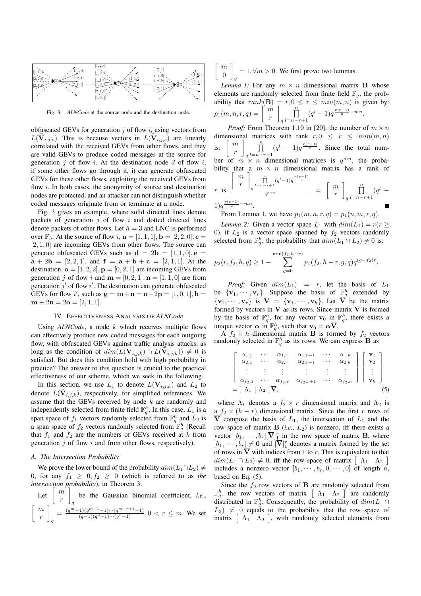

Fig. 3. *ALNCode* at the source node and the destination node.

obfuscated GEVs for generation  $j$  of flow  $i$ , using vectors from  $L(\tilde{\mathbf{V}}_{i,j,s})$ . This is because vectors in  $L(\tilde{\mathbf{V}}_{i,j,s})$  are linearly correlated with the received GEVs from other flows, and they are valid GEVs to produce coded messages at the source for generation  $j$  of flow  $i$ . At the destination node  $d$  of flow  $i$ , if some other flows go through it, it can generate obfuscated GEVs for these other flows, exploiting the received GEVs from flow  $i$ . In both cases, the anonymity of source and destination nodes are protected, and an attacker can not distinguish whether coded messages originate from or terminate at a node.

Fig. 3 gives an example, where solid directed lines denote packets of generation  $j$  of flow  $i$  and dotted directed lines denote packets of other flows. Let  $h = 3$  and LNC is performed over  $\mathbb{F}_3$ . At the source of flow i,  $\mathbf{a} = [1, 1, 1], \mathbf{b} = [2, 2, 0], \mathbf{c} =$  $[2, 1, 0]$  are incoming GEVs from other flows. The source can generate obfuscated GEVs such as  $d = 2b = [1, 1, 0], e =$  $a + 2b = [2, 2, 1]$ , and  $f = a + b + c = [2, 1, 1]$ . At the destination,  $\mathbf{o} = [1, 2, 2], \mathbf{p} = [0, 2, 1]$  are incoming GEVs from generation j of flow i and  $\mathbf{m} = [0, 2, 1], \mathbf{n} = [1, 1, 0]$  are from generation  $j'$  of flow  $i'$ . The destination can generate obfuscated GEVs for flow i', such as  $g = m+n = o+2p = [1, 0, 1], h =$  $m + 2n = 2o = [2, 1, 1].$ 

# IV. EFFECTIVENESS ANALYSIS OF *ALNCode*

Using *ALNCode*, a node k which receives multiple flows can effectively produce new coded messages for each outgoing flow, with obfuscated GEVs against traffic analysis attacks, as long as the condition of  $dim(L(\mathbf{V}_{i,j,k}) \cap L(\mathbf{V}_{i,j,k})) \neq 0$  is satisfied. But does this condition hold with high probability in practice? The answer to this question is crucial to the practical effectiveness of our scheme, which we seek in the following.

In this section, we use  $L_1$  to denote  $L(\mathbf{V}_{i,j,k})$  and  $L_2$  to denote  $L(\mathbf{V}_{i,j,k})$ , respectively, for simplified references. We assume that the GEVs received by node  $k$  are randomly and independently selected from finite field  $\mathbb{F}_q^h$ . In this case,  $L_1$  is a span space of  $f_1$  vectors randomly selected from  $\mathbb{F}_q^h$  and  $L_2$  is a span space of  $f_2$  vectors randomly selected from  $\mathbb{F}_q^h$  (Recall that  $f_1$  and  $f_2$  are the numbers of GEVs received at k from generation  $j$  of flow  $i$  and from other flows, respectively).

## *A. The Intersection Probability*

We prove the lower bound of the probability  $dim(L_1 \cap L_2) \neq$ 0, for any  $f_1 \geq 0, f_2 \geq 0$  (which is referred to as *the intersection probability*), in Theorem 3.

Let 
$$
\begin{bmatrix} m \\ r \end{bmatrix}_q
$$
 be the Gaussian binomial coefficient, *i.e.*,  
\n $\begin{bmatrix} m \\ r \end{bmatrix}_q = \frac{(q^m-1)(q^{m-1}-1)\cdots(q^{m-r+1}-1)}{(q-1)(q^2-1)\cdots(q^r-1)}, 0 < r \leq m$ . We set

 $\lceil m \rceil$  $\boldsymbol{0}$ 1 q  $= 1, \forall m > 0$ . We first prove two lemmas.

*Lemma 1:* For any  $m \times n$  dimensional matrix **B** whose elements are randomly selected from finite field  $\mathbb{F}_q$ , the probability that  $rank(\mathbf{B}) = r, 0 \leq r \leq min(m, n)$  is given by:  $p_1(m,n,r,q) = \left\lceil \begin{array}{c} m \ m \end{array} \right\rceil$ r 1 q  $\prod_{i=1}^{n}$  $\prod_{l=n-r+1}^{n} (q^l-1)q^{\frac{r(r-1)}{2}-mn}.$ 

*Proof:* From Theorem 1.10 in [20], the number of  $m \times n$ dimensional matrices with rank  $r, 0 \leq r \leq \min(m, n)$ is:  $\begin{bmatrix} m \\ r \end{bmatrix} \prod_{q,l=n-r+1}^{n} (q^l - 1) q^{\frac{r(r-1)}{2}}$ . Since the total number of  $m \times n$  dimensional matrices is  $q^{mn}$ , the proba- $\boldsymbol{m}$  $\overline{1}$  $\prod_{r=1}^{n}$   $(q^{l} - 1)q^{\frac{r(r-1)}{2}}$ . Since the total numbility that a  $m \times n$  dimensional matrix has a rank of  $\left\lceil \frac{m}{r} \right\rceil$  $\prod_{r=1}^{n} (q^{l}-1)q^{\frac{r(r-1)}{2}}$ 

$$
r \text{ is } \frac{\left[ r \int_{q} \frac{1}{e^{n-r+1}} \right]^{q}}{q^{mn}} = \left[ \begin{array}{c} m \\ r \end{array} \right]_{q} \prod_{l=n-r+1}^{n} (q^{l} - 1) q^{\frac{r(r-1)}{2} - mn}.
$$

From Lemma 1, we have  $p_1(m, n, r, q) = p_1(n, m, r, q)$ .

*Lemma 2:* Given a vector space  $L_1$  with  $dim(L_1) = r(r \geq 1)$ 0), if  $L_2$  is a vector space spanned by  $f_2$  vectors randomly selected from  $\mathbb{F}_q^h$ , the probability that  $dim(L_1 \cap L_2) \neq 0$  is:

$$
p_2(r, f_2, h, q) \ge 1 - \sum_{g=0}^{\min(f_2, h-r)} p_1(f_2, h-r, g, q) q^{(g-f_2)r}.
$$

*Proof:* Given  $dim(L_1) = r$ , let the basis of  $L_1$ be  $\{v_1, \dots, v_r\}$ . Suppose the basis of  $\mathbb{F}_q^h$  extended by  ${\mathbf v}_1, \cdots, {\mathbf v}_r$  is  ${\mathbf V} = {\mathbf v}_1, \cdots, {\mathbf v}_h$ . Let  $\overline{{\mathbf V}}$  be the matrix formed by vectors in V as its rows. Since matrix  $\overline{V}$  is formed by the basis of  $\mathbb{F}_q^h$ , for any vector  $\mathbf{v}_0$  in  $\mathbb{F}_q^h$ , there exists a unique vector  $\alpha$  in  $\mathbb{F}_q^h$ , such that  $\mathbf{v}_0 = \alpha \overline{\mathbf{V}}$ .

A  $f_2 \times h$  dimensional matrix **B** is formed by  $f_2$  vectors randomly selected in  $\mathbb{F}_q^h$  as its rows. We can express **B** as

$$
\begin{bmatrix}\n\alpha_{1,1} & \cdots & \alpha_{1,r} \\
\alpha_{2,1} & \cdots & \alpha_{2,r} \\
\vdots & \vdots & \vdots \\
\alpha_{f_2,1} & \cdots & \alpha_{f_2,r}\n\end{bmatrix}\n\begin{bmatrix}\n\alpha_{1,r+1} & \cdots & \alpha_{1,h} \\
\alpha_{2,r+1} & \cdots & \alpha_{2,h} \\
\vdots & \vdots & \vdots \\
\alpha_{f_2,r+1} & \cdots & \alpha_{f_2,h}\n\end{bmatrix}\n\begin{bmatrix}\n\mathbf{v}_1 \\
\mathbf{v}_2 \\
\vdots \\
\mathbf{v}_h\n\end{bmatrix}
$$
\n=  $\begin{bmatrix}\n\lambda_1 \mid \lambda_2 \mid \overline{\mathbf{V}}, & \n\end{bmatrix}$ \n(5)

where  $\Lambda_1$  denotes a  $f_2 \times r$  dimensional matrix and  $\Lambda_2$  is a  $f_2 \times (h - r)$  dimensional matrix. Since the first r rows of V compose the basis of  $L_1$ , the intersection of  $L_1$  and the row space of matrix  $B$  (*i.e.*,  $L_2$ ) is nonzero, iff there exists a vector  $[b_1, \dots, b_r] [\overline{V}]_1^r$  in the row space of matrix **B**, where  $[b_1, \dots, b_r] \neq \mathbf{0}$  and  $[\overline{\mathbf{V}}]_1^r$  denotes a matrix formed by the set of rows in  $\overline{V}$  with indices from 1 to r. This is equivalent to that  $dim(L_1 \cap L_2) \neq 0$ , iff the row space of matrix  $\begin{bmatrix} \Lambda_1 & \Lambda_2 \end{bmatrix}$ includes a nonzero vector  $[b_1, \cdots, b_r, 0, \cdots, 0]$  of length h, based on Eq. (5).

Since the  $f_2$  row vectors of **B** are randomly selected from  $\mathbb{F}_q^h$ , the row vectors of matrix  $\left[\begin{array}{cc} \Lambda_1 & \Lambda_2 \end{array}\right]$  are randomly distributed in  $\mathbb{F}_q^h$ . Consequently, the probability of  $dim(L_1 \cap$  $L_2$ )  $\neq$  0 equals to the probability that the row space of matrix  $\begin{bmatrix} \Lambda_1 & \Lambda_2 \end{bmatrix}$ , with randomly selected elements from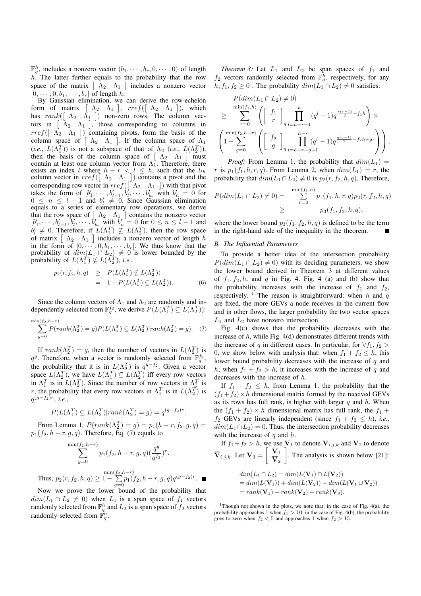$\mathbb{F}_q^h$ , includes a nonzero vector  $(b_1, \dots, b_r, 0, \dots, 0)$  of length  $h$ . The latter further equals to the probability that the row space of the matrix  $\begin{bmatrix} \Lambda_2 & \Lambda_1 \end{bmatrix}$  includes a nonzero vector  $[0, \cdots, 0, b_1, \cdots, b_r]$  of length h.

By Gaussian elimination, we can derive the row-echelon form of matrix  $\begin{bmatrix} \Lambda_2 & \Lambda_1 \end{bmatrix}$ ,  $rref(\begin{bmatrix} \Lambda_2 & \Lambda_1 \end{bmatrix})$ , which has rank( $\begin{bmatrix} \Lambda_2 & \Lambda_1 \end{bmatrix}$ ) non-zero rows. The column vectors in  $\begin{bmatrix} \Lambda_2 & \Lambda_1 \end{bmatrix}$ , those corresponding to columns in  $rref([ \Lambda_2 \Lambda_1])$  containing pivots, form the basis of the column space of  $\left[ \begin{array}{cc} \Lambda_2 & \Lambda_1 \end{array} \right]$ . If the column space of  $\Lambda_1$ (*i.e.*,  $L(\Lambda_1^T)$ ) is not a subspace of that of  $\Lambda_2$  (*i.e.*,  $L(\Lambda_2^T)$ ), (*i.e.*,  $E(\Lambda_1)$ ) is not a subspace of that of  $\Lambda_2$  (*i.e.*,  $E(\Lambda_2)$ ),<br>then the basis of the column space of  $\left[ \begin{array}{cc} \Lambda_2 & \Lambda_1 \end{array} \right]$  must contain at least one column vector from  $\Lambda_1$ . Therefore, there exists an index l where  $h - r \leq l \leq h$ , such that the  $l_{th}$ column vector in  $rref([ \Lambda_2 \Lambda_1])$  contains a pivot and the corresponding row vector in  $rref(\begin{bmatrix} 1 & \Lambda_2 & \Lambda_1 \end{bmatrix})$  with that pivot takes the form of  $[b'_1, \dots, b'_{l-1}, b'_l, \dots, b'_h]$  with  $b'_n = 0$  for  $0 \leq n \leq l-1$  and  $b'_l \neq 0$ . Since Gaussian elimination equals to a series of elementary row operations, we derive that the row space of  $\begin{bmatrix} \Lambda_2 & \Lambda_1 \end{bmatrix}$  contains the nonzero vector  $[b'_1, \cdots, b'_{l-1}, b'_l, \cdots, b'_h]$  with  $b'_n = 0$  for  $0 \le n \le l-1$  and  $b'_l \neq 0$ . Therefore, if  $L(\Lambda_1^T) \nsubseteq L(\Lambda_2^T)$ , then the row space of matrix  $\left[ \begin{array}{cc} \Lambda_2 & \Lambda_1 \end{array} \right]$  includes a nonzero vector of length h in the form of  $[0, \dots, 0, b_1, \dots, b_r]$ . We thus know that the probability of  $dim(L_1 \cap L_2) \neq 0$  is lower bounded by the probability of  $L(\Lambda_1^T) \nsubseteq L(\Lambda_2^T)$ , *i.e.*,

$$
p_2(r, f_2, h, q) \geq P(L(\Lambda_1^T) \nsubseteq L(\Lambda_2^T))
$$
  
= 1 - P(L(\Lambda\_1^T) \subseteq L(\Lambda\_2^T)). (6)

Since the column vectors of  $\Lambda_1$  and  $\Lambda_2$  are randomly and independently selected from  $\mathbb{F}_q^{f_2}$ , we derive  $P(L(\Lambda_1^T) \subseteq L(\Lambda_2^T))$ :

$$
\sum_{g=0}^{\min(f_2, h-r)} P(rank(\Lambda_2^T) = g) P(L(\Lambda_1^T) \subseteq L(\Lambda_2^T) | rank(\Lambda_2^T) = g). \tag{7}
$$

If  $rank(\Lambda_2^T) = g$ , then the number of vectors in  $L(\Lambda_2^T)$  is  $q^g$ . Therefore, when a vector is randomly selected from  $\mathbb{F}_q^{f_2}$ , the probability that it is in  $L(\Lambda_2^T)$  is  $q^{g-f_2}$ . Given a vector space  $L(\Lambda_2^T)$ , we have  $L(\Lambda_1^T) \subseteq L(\Lambda_2^T)$  iff every row vectors in  $\Lambda_1^T$  is in  $L(\Lambda_2^T)$ . Since the number of row vectors in  $\Lambda_1^T$  is r, the probability that every row vectors in  $\Lambda_1^T$  is in  $L(\Lambda_2^T)$  is q (g−f2)r , *i.e.*,

$$
P(L(\Lambda_1^T) \subseteq L(\Lambda_2^T)|rank(\Lambda_2^T) = g) = q^{(g-f_2)r}.
$$

From Lemma 1,  $P(rank(\Lambda_2^T) = g) = p_1(h - r, f_2, g, q) =$  $p_1(f_2, h-r, g, q)$ . Therefore, Eq. (7) equals to

$$
\sum_{g=0}^{\min(f_2, h-r)} p_1(f_2, h-r, g, q) \left(\frac{q^g}{q^{f_2}}\right)^r.
$$
  

$$
p_2(r, f_2, h, q) \ge 1 - \sum_{g=0}^{\min(f_2, h-r)} p_1(f_2, h-r, g, q) q^{(g-f_2)r}.
$$

Now we prove the lower bound of the probability that  $dim(L_1 \cap L_2 \neq 0)$  when  $L_1$  is a span space of  $f_1$  vectors randomly selected from  $\mathbb{F}_q^h$  and  $L_2$  is a span space of  $f_2$  vectors randomly selected from  $\mathbb{F}_q^h$ .

Thus,

*Theorem 3:* Let  $L_1$  and  $L_2$  be span spaces of  $f_1$  and  $f_2$  vectors randomly selected from  $\mathbb{F}_q^h$ , respectively, for any  $h, f_1, f_2 \geq 0$ . The probability  $dim(L_1 \cap L_2) \neq 0$  satisfies:

$$
P(\dim(L_1 \cap L_2) \neq 0)
$$
  
\n
$$
\geq \sum_{r=0}^{\min(f_1, h)} \left( \begin{bmatrix} f_1 \\ r \end{bmatrix}_{q} \prod_{l=h-r+1}^h (q^l - 1) q^{\frac{r(r-1)}{2} - f_1 h} \right) \times
$$
  
\n
$$
\left(1 - \sum_{g=0}^{\min(f_2, h-r)} \left( \begin{bmatrix} f_2 \\ g \end{bmatrix}_{q} \prod_{l=h-r-g+1}^{h-r} (q^l - 1) q^{\frac{g(g-1)}{2} - f_2 h + gr} \right) \right).
$$

*Proof:* From Lemma 1, the probability that  $dim(L_1)$  = r is  $p_1(f_1, h, r, q)$ . From Lemma 2, when  $dim(L_1) = r$ , the probability that  $dim(L_1 \cap L_2) \neq 0$  is  $p_2(r, f_2, h, q)$ . Therefore,

$$
P(dim(L_1 \cap L_2) \neq 0) = \sum_{r=0}^{\min(f_1, h)} p_1(f_1, h, r, q) p_2(r, f_2, h, q)
$$
  
 
$$
\geq p_3(f_1, f_2, h, q),
$$

where the lower bound  $p_3(f_1, f_2, h, q)$  is defined to be the term in the right-hand side of the inequality in the theorem.

## *B. The Influential Parameters*

To provide a better idea of the intersection probability  $P(dim(L_1 \cap L_2) \neq 0)$  with its deciding parameters, we show the lower bound derived in Theorem 3 at different values of  $f_1, f_2, h$ , and q in Fig. 4. Fig. 4 (a) and (b) show that the probability increases with the increase of  $f_1$  and  $f_2$ , respectively. <sup>1</sup> The reason is straightforward: when h and q are fixed, the more GEVs a node receives in the current flow and in other flows, the larger probability the two vector spaces  $L_1$  and  $L_2$  have nonzero intersection.

Fig. 4(c) shows that the probability decreases with the increase of  $h$ , while Fig. 4(d) demonstrates different trends with the increase of q in different cases. In particular, for  $\forall f_1, f_2 >$ 0, we show below with analysis that: when  $f_1 + f_2 \leq h$ , this lower bound probability decreases with the increase of  $q$  and h; when  $f_1 + f_2 > h$ , it increases with the increase of q and decreases with the increase of h.

If  $f_1 + f_2 \leq h$ , from Lemma 1, the probability that the  $(f_1+f_2)\times h$  dimensional matrix formed by the received GEVs as its rows has full rank, is higher with larger  $q$  and  $h$ . When the  $(f_1 + f_2) \times h$  dimensional matrix has full rank, the  $f_1$  +  $f_2$  GEVs are linearly independent (since  $f_1 + f_2 \leq h$ ), *i.e.*,  $dim(L_1 \cap L_2) = 0$ . Thus, the intersection probability decreases with the increase of  $q$  and  $h$ .

If  $f_1+f_2 > h$ , we use  $V_1$  to denote  $V_{i,j,k}$  and  $V_2$  to denote  $V_{i,j,k}$ . Let  $V_3 =$  $\lceil \ \overline{\mathbf{V}}_1 \rceil$  $\mathbf{V}_2$ 1 . The analysis is shown below [21]:  $dim(L_1 \cap L_2) = dim(L(V_1) \cap L(V_2))$  $= dim(L(V_1)) + dim(L(V_2)) - dim(L(V_1 \cup V_2))$  $= rank(\overline{\mathbf{V}}_1) + rank(\overline{\mathbf{V}}_2) - rank(\overline{\mathbf{V}}_3).$ 

<sup>1</sup>Though not shown in the plots, we note that: in the case of Fig.  $4(a)$ , the probability approaches 1 when  $f_1 > 10$ ; in the case of Fig. 4(b), the probability goes to zero when  $f_2 < 5$  and approaches 1 when  $f_2 > 15$ .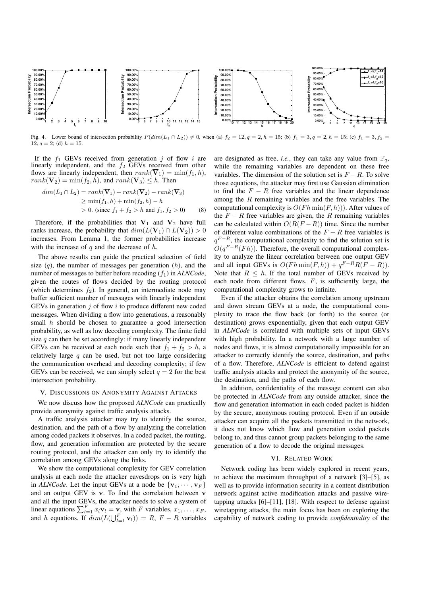

Fig. 4. Lower bound of intersection probability  $P(dim(L_1 \cap L_2)) \neq 0$ , when (a)  $f_2 = 12$ ,  $q = 2$ ,  $h = 15$ ; (b)  $f_1 = 3$ ,  $q = 2$ ,  $h = 15$ ; (c)  $f_1 = 3$ ,  $f_2 = 15$  $12, q = 2$ ; (d)  $h = 15$ .

If the  $f_1$  GEVs received from generation  $j$  of flow  $i$  are linearly independent, and the  $f_2$  GEVs received from other flows are linearly independent, then  $rank(\overline{\mathbf{V}}_1) = min(f_1, h)$ ,  $rank(\mathbf{V}_2) = min(f_2, h)$ , and  $rank(\mathbf{V}_3) \leq h$ . Then

$$
dim(L_1 \cap L_2) = rank(\overline{\mathbf{V}}_1) + rank(\overline{\mathbf{V}}_2) - rank(\overline{\mathbf{V}}_3)
$$
  
\n
$$
\geq min(f_1, h) + min(f_2, h) - h
$$
  
\n
$$
> 0. (since f_1 + f_2 > h and f_1, f_2 > 0)
$$
 (8)

Therefore, if the probabilities that  $V_1$  and  $V_2$  have full ranks increase, the probability that  $dim(L(V_1) \cap L(V_2)) > 0$ increases. From Lemma 1, the former probabilities increase with the increase of  $q$  and the decrease of  $h$ .

The above results can guide the practical selection of field size  $(q)$ , the number of messages per generation  $(h)$ , and the number of messages to buffer before recoding  $(f_1)$  in  $ALNCode$ , given the routes of flows decided by the routing protocol (which determines  $f_2$ ). In general, an intermediate node may buffer sufficient number of messages with linearly independent GEVs in generation  $j$  of flow  $i$  to produce different new coded messages. When dividing a flow into generations, a reasonably small h should be chosen to guarantee a good intersection probability, as well as low decoding complexity. The finite field size  $q$  can then be set accordingly: if many linearly independent GEVs can be received at each node such that  $f_1 + f_2 > h$ , a relatively large  $q$  can be used, but not too large considering the communication overhead and decoding complexity; if few GEVs can be received, we can simply select  $q = 2$  for the best intersection probability.

# V. DISCUSSIONS ON ANONYMITY AGAINST ATTACKS

We now discuss how the proposed *ALNCode* can practically provide anonymity against traffic analysis attacks.

A traffic analysis attacker may try to identify the source, destination, and the path of a flow by analyzing the correlation among coded packets it observes. In a coded packet, the routing, flow, and generation information are protected by the secure routing protocol, and the attacker can only try to identify the correlation among GEVs along the links.

We show the computational complexity for GEV correlation analysis at each node the attacker eavesdrops on is very high in *ALNCode*. Let the input GEVs at a node be  $\{v_1, \dots, v_F\}$ and an output GEV is v. To find the correlation between v and all the input GEVs, the attacker needs to solve a system of linear equations  $\sum_{l=1}^{F} x_l \mathbf{v}_l = \mathbf{v}$ , with F variables,  $x_1, \ldots, x_F$ , and h equations. If  $\dim(L(\bigcup_{l=1}^{F} \mathbf{v}_{l})) = R$ ,  $F - R$  variables are designated as free, *i.e.*, they can take any value from  $\mathbb{F}_q$ , while the remaining variables are dependent on these free variables. The dimension of the solution set is  $F - R$ . To solve those equations, the attacker may first use Gaussian elimination to find the  $F - R$  free variables and the linear dependence among the  $R$  remaining variables and the free variables. The computational complexity is  $O(Fh \min(F, h))$ . After values of the  $F - R$  free variables are given, the R remaining variables can be calculated within  $O(R(F - R))$  time. Since the number of different value combinations of the  $F - R$  free variables is  $q^{F-R}$ , the computational complexity to find the solution set is  $O(q^{F-R}(Fh))$ . Therefore, the overall computational complexity to analyze the linear correlation between one output GEV and all input GEVs is  $O(Fh \min(F, h)) + q^{F-R}R(F - R)$ . Note that  $R \leq h$ . If the total number of GEVs received by each node from different flows,  $F$ , is sufficiently large, the computational complexity grows to infinite.

Even if the attacker obtains the correlation among upstream and down stream GEVs at a node, the computational complexity to trace the flow back (or forth) to the source (or destination) grows exponentially, given that each output GEV in *ALNCode* is correlated with multiple sets of input GEVs with high probability. In a network with a large number of nodes and flows, it is almost computationally impossible for an attacker to correctly identify the source, destination, and paths of a flow. Therefore, *ALNCode* is efficient to defend against traffic analysis attacks and protect the anonymity of the source, the destination, and the paths of each flow.

In addition, confidentiality of the message content can also be protected in *ALNCode* from any outside attacker, since the flow and generation information in each coded packet is hidden by the secure, anonymous routing protocol. Even if an outside attacker can acquire all the packets transmitted in the network, it does not know which flow and generation coded packets belong to, and thus cannot group packets belonging to the same generation of a flow to decode the original messages.

#### VI. RELATED WORK

Network coding has been widely explored in recent years, to achieve the maximum throughput of a network [3]–[5], as well as to provide information security in a content distribution network against active modification attacks and passive wiretapping attacks [6]–[11], [18]. With respect to defense against wiretapping attacks, the main focus has been on exploring the capability of network coding to provide *confidentiality* of the